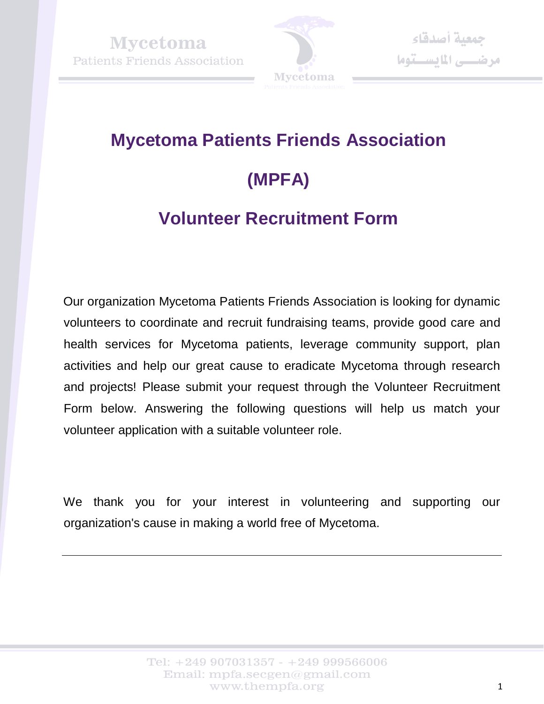

# **Mycetoma Patients Friends Association (MPFA)**

## **Volunteer Recruitment Form**

Our organization Mycetoma Patients Friends Association is looking for dynamic volunteers to coordinate and recruit fundraising teams, provide good care and health services for Mycetoma patients, leverage community support, plan activities and help our great cause to eradicate Mycetoma through research and projects! Please submit your request through the Volunteer Recruitment Form below. Answering the following questions will help us match your volunteer application with a suitable volunteer role.

We thank you for your interest in volunteering and supporting our organization's cause in making a world free of Mycetoma.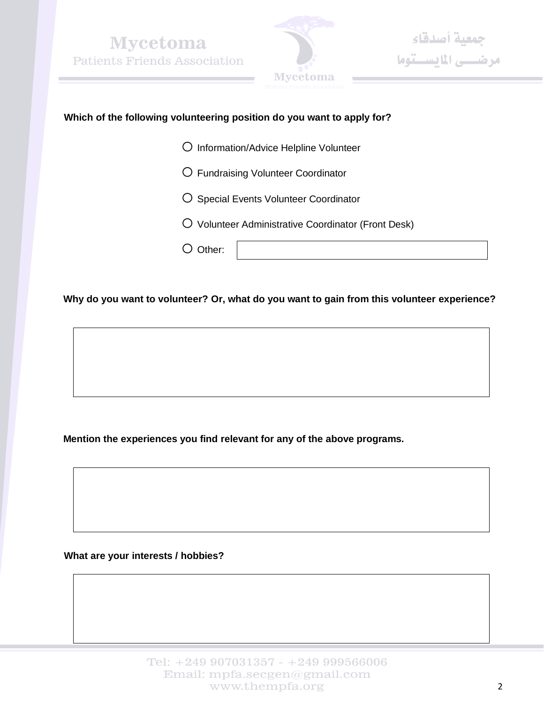



#### **Which of the following volunteering position do you want to apply for?**

- o Information/Advice Helpline Volunteer
- o Fundraising Volunteer Coordinator
- O Special Events Volunteer Coordinator
- O Volunteer Administrative Coordinator (Front Desk)
- O Other:

**Why do you want to volunteer? Or, what do you want to gain from this volunteer experience?**

**Mention the experiences you find relevant for any of the above programs.** 

**What are your interests / hobbies?**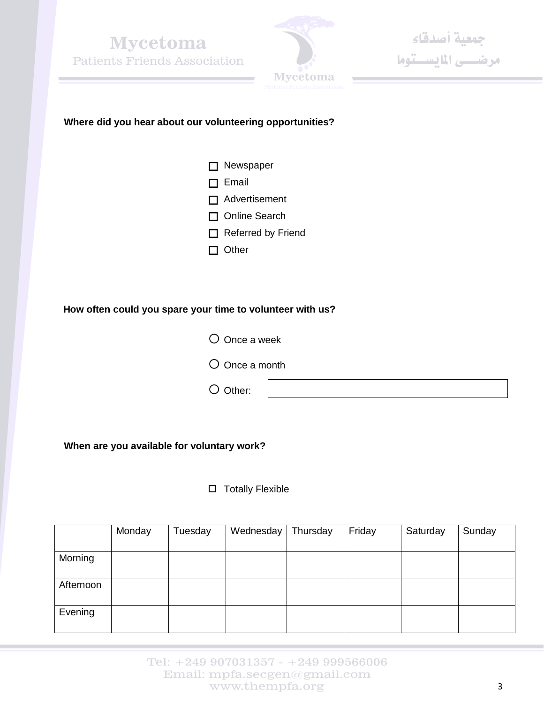



جمعية أصدقاء<br>مرضــــى المايســتوما

#### **Where did you hear about our volunteering opportunities?**

- □ Newspaper  $\Box$  Email □ Advertisement □ Online Search Referred by Friend
- $\Box$  Other

#### **How often could you spare your time to volunteer with us?**

- $O$  Once a week  $O$  Once a month
- O Other:

**When are you available for voluntary work?**

 $\square$  Totally Flexible

|           | Monday | Tuesday | Wednesday | Thursday | Friday | Saturday | Sunday |
|-----------|--------|---------|-----------|----------|--------|----------|--------|
|           |        |         |           |          |        |          |        |
| Morning   |        |         |           |          |        |          |        |
|           |        |         |           |          |        |          |        |
| Afternoon |        |         |           |          |        |          |        |
|           |        |         |           |          |        |          |        |
| Evening   |        |         |           |          |        |          |        |
|           |        |         |           |          |        |          |        |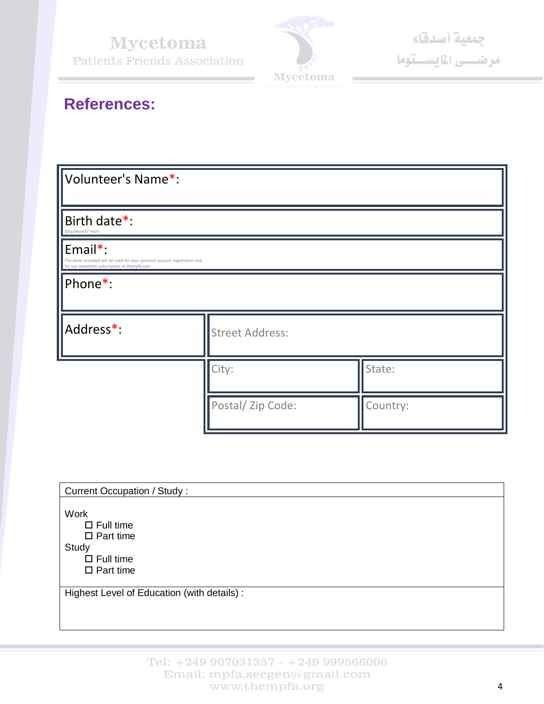**Mycetoma Patients Friends Association** 



### **References:**

| Volunteer's Name*:                                                                                                                      |                        |          |  |  |  |  |
|-----------------------------------------------------------------------------------------------------------------------------------------|------------------------|----------|--|--|--|--|
| Birth date*:<br>(Day/Month/Year)                                                                                                        |                        |          |  |  |  |  |
| Email*:<br>The email provided will be used for your personal account registration and<br>for our newsletter subscription at thempfa.com |                        |          |  |  |  |  |
| Phone*:                                                                                                                                 |                        |          |  |  |  |  |
| Address*:                                                                                                                               | <b>Street Address:</b> |          |  |  |  |  |
|                                                                                                                                         | City:                  | State:   |  |  |  |  |
|                                                                                                                                         | Postal/Zip Code:       | Country: |  |  |  |  |

| <b>Current Occupation / Study:</b>          |  |  |  |  |  |
|---------------------------------------------|--|--|--|--|--|
|                                             |  |  |  |  |  |
| Work                                        |  |  |  |  |  |
| $\Box$ Full time                            |  |  |  |  |  |
| $\Box$ Part time                            |  |  |  |  |  |
| Study                                       |  |  |  |  |  |
| $\Box$ Full time                            |  |  |  |  |  |
| $\Box$ Part time                            |  |  |  |  |  |
|                                             |  |  |  |  |  |
| Highest Level of Education (with details) : |  |  |  |  |  |
|                                             |  |  |  |  |  |
|                                             |  |  |  |  |  |
|                                             |  |  |  |  |  |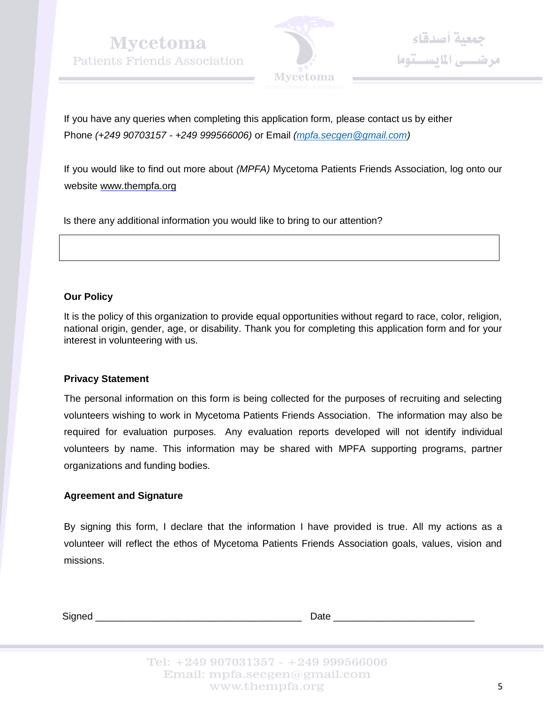**Mycetoma Patients Friends Association** 



جمعية أصدقاء<br>مرضــــى المايســتوما

If you have any queries when completing this application form, please contact us by either Phone *(+249 90703157 - +249 999566006)* or Email *[\(mpfa.secgen@gmail.com\)](mailto:mpfa.secgen@gmail.com)*

If you would like to find out more about *(MPFA)* Mycetoma Patients Friends Association, log onto our website [www.thempfa.org](http://www.thempfa.org/)

Is there any additional information you would like to bring to our attention?

#### **Our Policy**

It is the policy of this organization to provide equal opportunities without regard to race, color, religion, national origin, gender, age, or disability. Thank you for completing this application form and for your interest in volunteering with us.

#### **Privacy Statement**

The personal information on this form is being collected for the purposes of recruiting and selecting volunteers wishing to work in Mycetoma Patients Friends Association. The information may also be required for evaluation purposes. Any evaluation reports developed will not identify individual volunteers by name. This information may be shared with MPFA supporting programs, partner organizations and funding bodies.

#### **Agreement and Signature**

By signing this form, I declare that the information I have provided is true. All my actions as a volunteer will reflect the ethos of Mycetoma Patients Friends Association goals, values, vision and missions.

Signed \_\_\_\_\_\_\_\_\_\_\_\_\_\_\_\_\_\_\_\_\_\_\_\_\_\_\_\_\_\_\_\_\_\_\_\_\_\_ Date \_\_\_\_\_\_\_\_\_\_\_\_\_\_\_\_\_\_\_\_\_\_\_\_\_\_